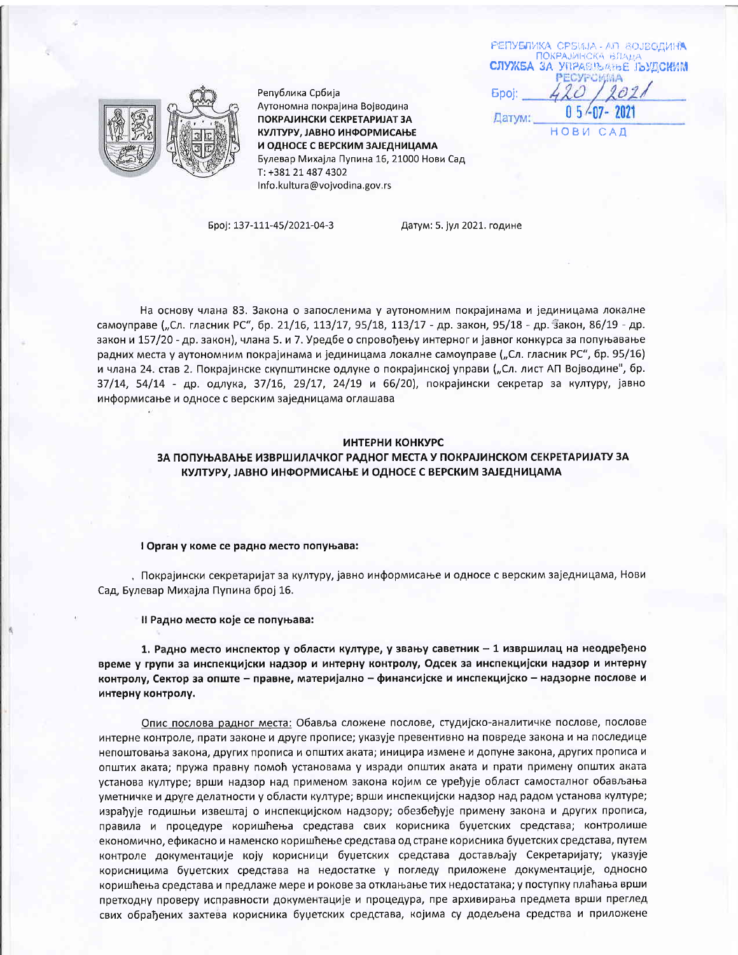РЕПУБЛИКА СРБИЈА - АП ВОЈВОДИНА СЛУЖБА ЗА **YRPASTEATEE JEVECHMM** Epoj: Датум: HOBM CAD



Република Србија Аутономна покрајина Војводина ПОКРАЈИНСКИ СЕКРЕТАРИЈАТ ЗА КУЛТУРУ, ЈАВНО ИНФОРМИСАЊЕ И ОДНОСЕ С ВЕРСКИМ ЗАЈЕДНИЦАМА Булевар Михајла Пупина 16, 21000 Нови Сад T: +381 21 487 4302 Info.kultura@vojvodina.gov.rs

Број: 137-111-45/2021-04-3

Датум: 5. јул 2021. године

На основу члана 83. Закона о запосленима у аутономним покрајинама и јединицама локалне самоуправе ("Сл. гласник РС", бр. 21/16, 113/17, 95/18, 113/17 - др. закон, 95/18 - др. закон, 86/19 - др. закон и 157/20 - др. закон), члана 5. и 7. Уредбе о спровођењу интерног и јавног конкурса за попуњавање радних места у аутономним покрајинама и јединицама локалне самоуправе ("Сл. гласник РС", бр. 95/16) и члана 24. став 2. Покрајинске скупштинске одлуке о покрајинској управи ("Сл. лист АП Војводине", бр. 37/14, 54/14 - др. одлука, 37/16, 29/17, 24/19 и 66/20), покрајински секретар за културу, јавно информисање и односе с верским заједницама оглашава

#### ИНТЕРНИ КОНКУРС

ЗА ПОПУЊАВАЊЕ ИЗВРШИЛАЧКОГ РАДНОГ МЕСТА У ПОКРАЈИНСКОМ СЕКРЕТАРИЈАТУ ЗА КУЛТУРУ, ЈАВНО ИНФОРМИСАЊЕ И ОДНОСЕ С ВЕРСКИМ ЗАЈЕДНИЦАМА

#### I Орган у коме се радно место попуњава:

, Покрајински секретаријат за културу, јавно информисање и односе с верским заједницама, Нови Сад, Булевар Михајла Пупина број 16.

Il Радно место које се попуњава:

1. Радно место инспектор у области културе, у звању саветник - 1 извршилац на неодређено време у групи за инспекцијски надзор и интерну контролу, Одсек за инспекцијски надзор и интерну контролу, Сектор за опште – правне, материјално – финансијске и инспекцијско – надзорне послове и интерну контролу.

Опис послова радног места: Обавља сложене послове, студијско-аналитичке послове, послове интерне контроле, прати законе и друге прописе; указује превентивно на повреде закона и на последице непоштовања закона, других прописа и општих аката; иницира измене и допуне закона, других прописа и општих аката; пружа правну помоћ установама у изради општих аката и прати примену општих аката установа културе; врши надзор над применом закона којим се уређује област самосталног обављања уметничке и друге делатности у области културе; врши инспекцијски надзор над радом установа културе; израђује годишњи извештај о инспекцијском надзору; обезбеђује примену закона и других прописа, правила и процедуре коришћења средстава свих корисника буџетских средстава; контролише економично, ефикасно и наменско коришћење средстава од стране корисника буџетских средстава, путем контроле документације коју корисници буџетских средстава достављају Секретаријату; указује корисницима буџетских средстава на недостатке у погледу приложене документације, односно коришћења средстава и предлаже мере и рокове за отклањање тих недостатака; у поступку плаћања врши претходну проверу исправности документације и процедура, пре архивирања предмета врши преглед свих обрађених захтева корисника буџетских средстава, којима су додељена средства и приложене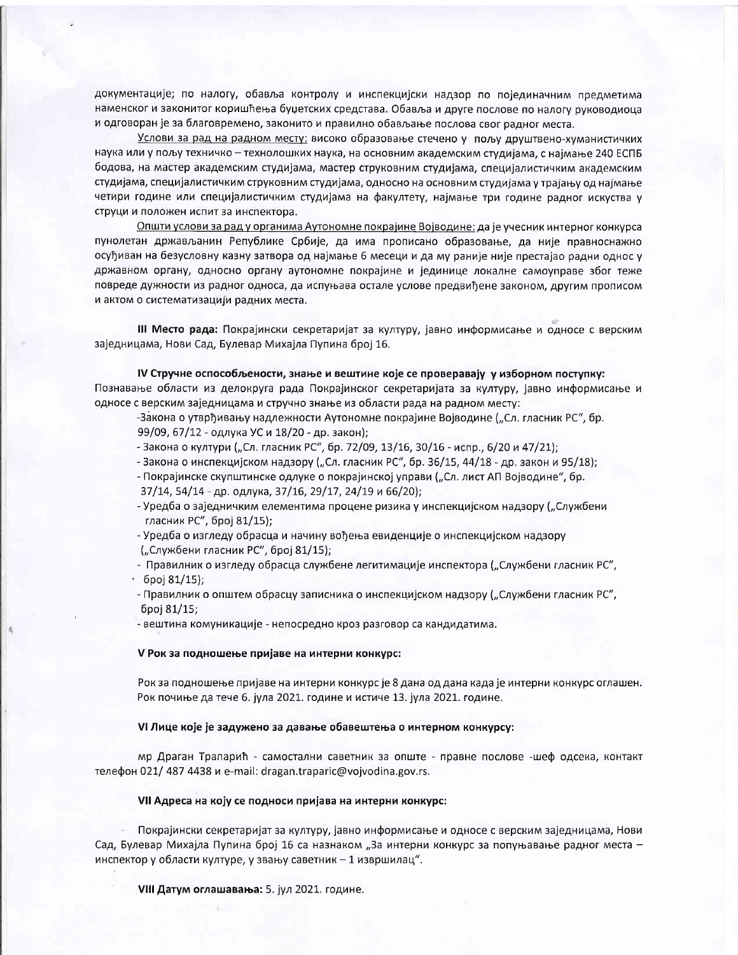документације; по налогу, обавља контролу и инспекцијски надзор по појединачним предметима наменског и законитог коришћења буџетских средстава. Обавља и друге послове по налогу руководиоца и одговоран је за благовремено, законито и правилно обављање послова свог радног места.

Услови за рад на радном месту: високо образовање стечено у пољу друштвено-хуманистичких наука или у пољу техничко - технолошких наука, на основним академским студијама, с најмање 240 ЕСПБ бодова, на мастер академским студијама, мастер струковним студијама, специјалистичким академским студијама, специјалистичким струковним студијама, односно на основним студијама у трајању од најмање четири године или специјалистичким студијама на факултету, најмање три године радног искуства у струци и положен испит за инспектора.

Општи услови за рад у органима Аутономне покрајине Војводине: да је учесник интерног конкурса пунолетан држављанин Републике Србије, да има прописано образовање, да није правноснажно осуђиван на безусловну казну затвора од најмање 6 месеци и да му раније није престајао радни однос у државном органу, односно органу аутономне покрајине и јединице локалне самоуправе због теже повреде дужности из радног односа, да испуњава остале услове предвиђене законом, другим прописом и актом о систематизацији радних места.

III Место рада: Покрајински секретаријат за културу, јавно информисање и односе с верским заједницама, Нови Сад, Булевар Михајла Пупина број 16.

IV Стручне оспособљености, знање и вештине које се проверавају у изборном поступку: Познавање области из делокруга рада Покрајинског секретаријата за културу, јавно информисање и односе с верским заједницама и стручно знање из области рада на радном месту:

-Закона о утврђивању надлежности Аутономне покрајине Војводине ("Сл. гласник РС", бр. 99/09, 67/12 - одлука УС и 18/20 - др. закон);

- Закона о култури ("Сл. гласник РС", бр. 72/09, 13/16, 30/16 испр., 6/20 и 47/21);
- Закона о инспекцијском надзору ("Сл. гласник РС", бр. 36/15, 44/18 др. закон и 95/18);
- Покрајинске скупштинске одлуке о покрајинској управи ("Сл. лист АП Војводине", бр. 37/14, 54/14 - др. одлука, 37/16, 29/17, 24/19 и 66/20);
- Уредба о заједничким елементима процене ризика у инспекцијском надзору ("Службени гласник РС", број 81/15);
- Уредба о изгледу обрасца и начину вођења евиденције о инспекцијском надзору

("Службени гласник РС", број 81/15);

- Правилник о изгледу обрасца службене легитимације инспектора ("Службени гласник РС",  $600181/15$ ;

- Правилник о општем обрасцу записника о инспекцијском надзору ("Службени гласник РС", број 81/15;

- вештина комуникације - непосредно кроз разговор са кандидатима.

### V Рок за подношење пријаве на интерни конкурс:

Рок за подношење пријаве на интерни конкурс је 8 дана од дана када је интерни конкурс оглашен. Рок почиње да тече 6. јула 2021. године и истиче 13. јула 2021. године.

## VI Лице које је задужено за давање обавештења о интерном конкурсу:

мр Драган Трапарић - самостални саветник за опште - правне послове -шеф одсека, контакт телефон 021/ 487 4438 и e-mail: dragan.traparic@vojvodina.gov.rs.

#### VII Адреса на коју се подноси пријава на интерни конкурс:

Покрајински секретаријат за културу, јавно информисање и односе с верским заједницама, Нови Сад, Булевар Михајла Пупина број 16 са назнаком "За интерни конкурс за попуњавање радног места инспектор у области културе, у звању саветник - 1 извршилац".

VIII Датум оглашавања: 5. јул 2021. године.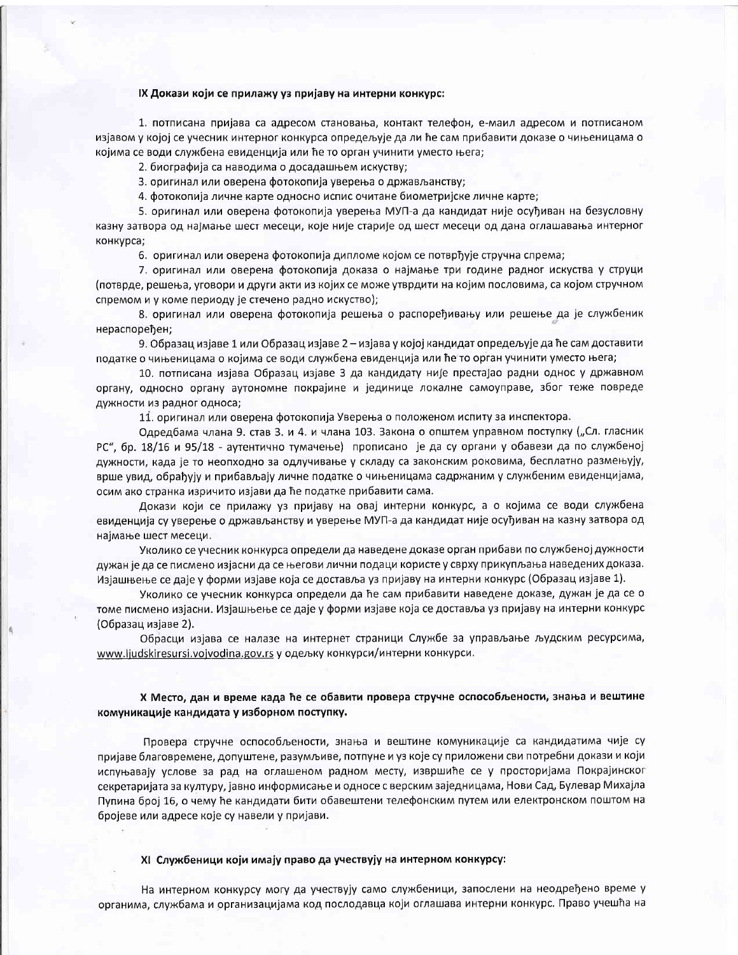## IX Докази који се прилажу уз пријаву на интерни конкурс:

1. потписана пријава са адресом становања, контакт телефон, е-маил адресом и потписаном изјавом у којој се учесник интерног конкурса опредељује да ли ће сам прибавити доказе о чињеницама о којима се води службена евиденција или ће то орган учинити уместо њега;

2. биографија са наводима о досадашњем искуству;

3. оригинал или оверена фотокопија уверења о држављанству;

4. фотокопија личне карте односно испис очитане биометријске личне карте;

5. оригинал или оверена фотокопија уверења МУП-а да кандидат није осуђиван на безусловну казну затвора од најмање шест месеци, које није старије од шест месеци од дана оглашавања интерног конкурса;

6. оригинал или оверена фотокопија дипломе којом се потврђује стручна спрема;

7. оригинал или оверена фотокопија доказа о најмање три године радног искуства у струци (потврде, решења, уговори и други акти из којих се може утврдити на којим пословима, са којом стручном спремом и у коме периоду је стечено радно искуство);

8. оригинал или оверена фотокопија решења о распоређивању или решење да је службеник нераспоређен;

9. Образац изјаве 1 или Образац изјаве 2 – изјава у којој кандидат опредељује да ће сам доставити податке о чињеницама о којима се води службена евиденција или ће то орган учинити уместо њега;

10. потписана изјава Образац изјаве 3 да кандидату није престајао радни однос у државном органу, односно органу аутономне покрајине и јединице локалне самоуправе, због теже повреде дужности из радног односа;

11. оригинал или оверена фотокопија Уверења о положеном испиту за инспектора.

Одредбама члана 9. став 3. и 4. и члана 103. Закона о општем управном поступку ("Сл. гласник РС", бр. 18/16 и 95/18 - аутентично тумачење) прописано је да су органи у обавези да по службеној дужности, када је то неопходно за одлучивање у складу са законским роковима, бесплатно размењују, врше увид, обрађују и прибављају личне податке о чињеницама садржаним у службеним евиденцијама, осим ако странка изричито изјави да ће податке прибавити сама.

Докази који се прилажу уз пријаву на овај интерни конкурс, а о којима се води службена евиденција су уверење о држављанству и уверење МУП-а да кандидат није осуђиван на казну затвора од најмање шест месеци.

Уколико се учесник конкурса определи да наведене доказе орган прибави по службеној дужности дужан је да се писмено изјасни да се његови лични подаци користе у сврху прикупљања наведених доказа. Изјашњење се даје у форми изјаве која се доставља уз пријаву на интерни конкурс (Образац изјаве 1).

Уколико се учесник конкурса определи да ће сам прибавити наведене доказе, дужан је да се о томе писмено изјасни. Изјашњење се даје у форми изјаве која се доставља уз пријаву на интерни конкурс (Образац изјаве 2).

Обрасци изјава се налазе на интернет страници Службе за управљање људским ресурсима, www.ljudskiresursi.vojvodina.gov.rs у одељку конкурси/интерни конкурси.

# Х Место, дан и време када ће се обавити провера стручне оспособљености, знања и вештине комуникације кандидата у изборном поступку.

Провера стручне оспособљености, знања и вештине комуникације са кандидатима чије су пријаве благовремене, допуштене, разумљиве, потпуне и уз које су приложени сви потребни докази и који испуњавају услове за рад на оглашеном радном месту, извршиће се у просторијама Покрајинског секретаријата за културу, јавно информисање и односе с верским заједницама, Нови Сад, Булевар Михајла Пупина број 16, о чему ће кандидати бити обавештени телефонским путем или електронском поштом на бројеве или адресе које су навели у пријави.

#### XI Службеници који имају право да учествују на интерном конкурсу:

На интерном конкурсу могу да учествују само службеници, запослени на неодређено време у органима, службама и организацијама код послодавца који оглашава интерни конкурс. Право учешћа на